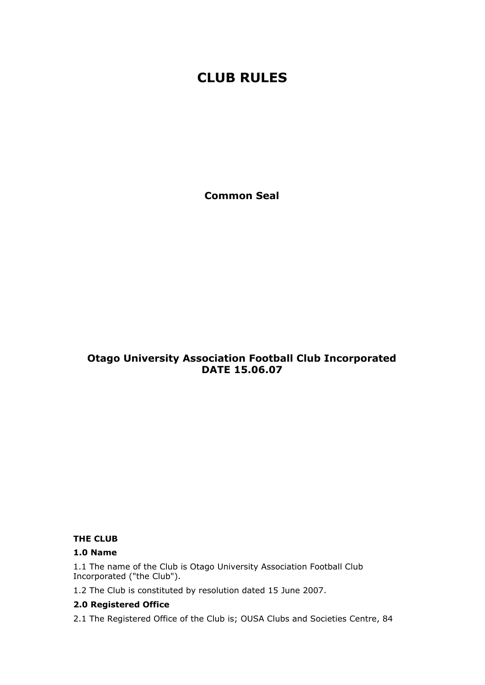# **CLUB RULES**

**Common Seal**

## **Otago University Association Football Club Incorporated DATE 15.06.07**

## **THE CLUB**

#### **1.0 Name**

1.1 The name of the Club is Otago University Association Football Club Incorporated ("the Club").

1.2 The Club is constituted by resolution dated 15 June 2007.

## **2.0 Registered Office**

2.1 The Registered Office of the Club is; OUSA Clubs and Societies Centre, 84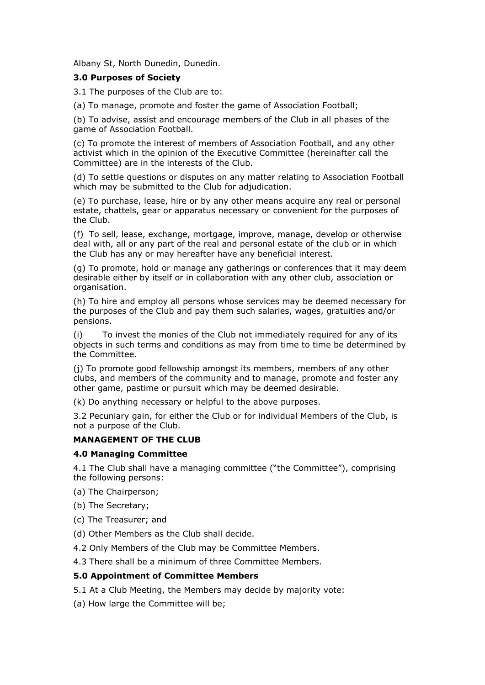Albany St, North Dunedin, Dunedin.

### **3.0 Purposes of Society**

3.1 The purposes of the Club are to:

(a) To manage, promote and foster the game of Association Football;

(b) To advise, assist and encourage members of the Club in all phases of the game of Association Football.

(c) To promote the interest of members of Association Football, and any other activist which in the opinion of the Executive Committee (hereinafter call the Committee) are in the interests of the Club.

(d) To settle questions or disputes on any matter relating to Association Football which may be submitted to the Club for adjudication.

(e) To purchase, lease, hire or by any other means acquire any real or personal estate, chattels, gear or apparatus necessary or convenient for the purposes of the Club.

(f) To sell, lease, exchange, mortgage, improve, manage, develop or otherwise deal with, all or any part of the real and personal estate of the club or in which the Club has any or may hereafter have any beneficial interest.

(g) To promote, hold or manage any gatherings or conferences that it may deem desirable either by itself or in collaboration with any other club, association or organisation.

(h) To hire and employ all persons whose services may be deemed necessary for the purposes of the Club and pay them such salaries, wages, gratuities and/or pensions.

(i) To invest the monies of the Club not immediately required for any of its objects in such terms and conditions as may from time to time be determined by the Committee.

(j) To promote good fellowship amongst its members, members of any other clubs, and members of the community and to manage, promote and foster any other game, pastime or pursuit which may be deemed desirable.

(k) Do anything necessary or helpful to the above purposes.

3.2 Pecuniary gain, for either the Club or for individual Members of the Club, is not a purpose of the Club.

#### **MANAGEMENT OF THE CLUB**

#### **4.0 Managing Committee**

4.1 The Club shall have a managing committee ("the Committee"), comprising the following persons:

(a) The Chairperson;

(b) The Secretary;

(c) The Treasurer; and

(d) Other Members as the Club shall decide.

4.2 Only Members of the Club may be Committee Members.

4.3 There shall be a minimum of three Committee Members.

#### **5.0 Appointment of Committee Members**

5.1 At a Club Meeting, the Members may decide by majority vote:

(a) How large the Committee will be;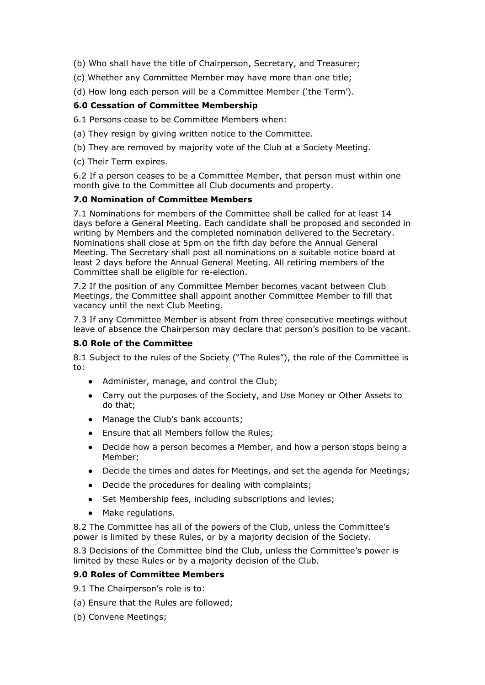(b) Who shall have the title of Chairperson, Secretary, and Treasurer;

- (c) Whether any Committee Member may have more than one title;
- (d) How long each person will be a Committee Member ('the Term').

## **6.0 Cessation of Committee Membership**

6.1 Persons cease to be Committee Members when:

- (a) They resign by giving written notice to the Committee.
- (b) They are removed by majority vote of the Club at a Society Meeting.
- (c) Their Term expires.

6.2 If a person ceases to be a Committee Member, that person must within one month give to the Committee all Club documents and property.

#### **7.0 Nomination of Committee Members**

7.1 Nominations for members of the Committee shall be called for at least 14 days before a General Meeting. Each candidate shall be proposed and seconded in writing by Members and the completed nomination delivered to the Secretary. Nominations shall close at 5pm on the fifth day before the Annual General Meeting. The Secretary shall post all nominations on a suitable notice board at least 2 days before the Annual General Meeting. All retiring members of the Committee shall be eligible for re-election.

7.2 If the position of any Committee Member becomes vacant between Club Meetings, the Committee shall appoint another Committee Member to fill that vacancy until the next Club Meeting.

7.3 If any Committee Member is absent from three consecutive meetings without leave of absence the Chairperson may declare that person's position to be vacant.

#### **8.0 Role of the Committee**

8.1 Subject to the rules of the Society ("The Rules"), the role of the Committee is to:

- Administer, manage, and control the Club;
- Carry out the purposes of the Society, and Use Money or Other Assets to do that;
- Manage the Club's bank accounts;
- Ensure that all Members follow the Rules;
- Decide how a person becomes a Member, and how a person stops being a Member;
- Decide the times and dates for Meetings, and set the agenda for Meetings;
- Decide the procedures for dealing with complaints;
- Set Membership fees, including subscriptions and levies;
- Make regulations.

8.2 The Committee has all of the powers of the Club, unless the Committee's power is limited by these Rules, or by a majority decision of the Society.

8.3 Decisions of the Committee bind the Club, unless the Committee's power is limited by these Rules or by a majority decision of the Club.

#### **9.0 Roles of Committee Members**

9.1 The Chairperson's role is to:

- (a) Ensure that the Rules are followed;
- (b) Convene Meetings;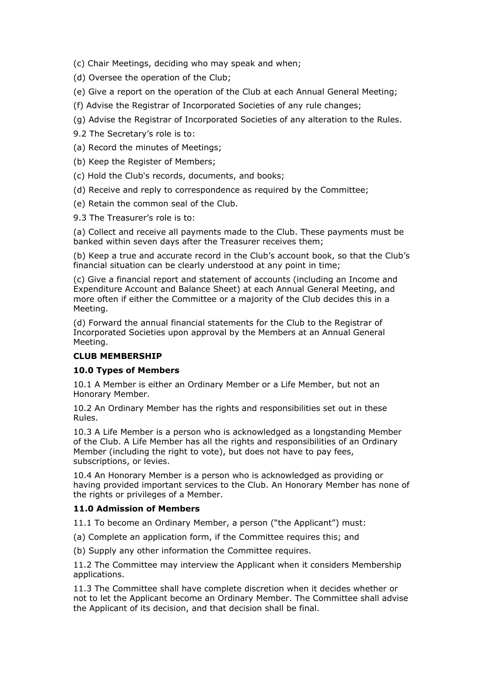(c) Chair Meetings, deciding who may speak and when;

(d) Oversee the operation of the Club;

- (e) Give a report on the operation of the Club at each Annual General Meeting;
- (f) Advise the Registrar of Incorporated Societies of any rule changes;
- (g) Advise the Registrar of Incorporated Societies of any alteration to the Rules.
- 9.2 The Secretary's role is to:
- (a) Record the minutes of Meetings;
- (b) Keep the Register of Members;
- (c) Hold the Club's records, documents, and books;
- (d) Receive and reply to correspondence as required by the Committee;
- (e) Retain the common seal of the Club.
- 9.3 The Treasurer's role is to:

(a) Collect and receive all payments made to the Club. These payments must be banked within seven days after the Treasurer receives them;

(b) Keep a true and accurate record in the Club's account book, so that the Club's financial situation can be clearly understood at any point in time;

(c) Give a financial report and statement of accounts (including an Income and Expenditure Account and Balance Sheet) at each Annual General Meeting, and more often if either the Committee or a majority of the Club decides this in a Meeting.

(d) Forward the annual financial statements for the Club to the Registrar of Incorporated Societies upon approval by the Members at an Annual General Meeting.

#### **CLUB MEMBERSHIP**

#### **10.0 Types of Members**

10.1 A Member is either an Ordinary Member or a Life Member, but not an Honorary Member.

10.2 An Ordinary Member has the rights and responsibilities set out in these Rules.

10.3 A Life Member is a person who is acknowledged as a longstanding Member of the Club. A Life Member has all the rights and responsibilities of an Ordinary Member (including the right to vote), but does not have to pay fees, subscriptions, or levies.

10.4 An Honorary Member is a person who is acknowledged as providing or having provided important services to the Club. An Honorary Member has none of the rights or privileges of a Member.

#### **11.0 Admission of Members**

11.1 To become an Ordinary Member, a person ("the Applicant") must:

(a) Complete an application form, if the Committee requires this; and

(b) Supply any other information the Committee requires.

11.2 The Committee may interview the Applicant when it considers Membership applications.

11.3 The Committee shall have complete discretion when it decides whether or not to let the Applicant become an Ordinary Member. The Committee shall advise the Applicant of its decision, and that decision shall be final.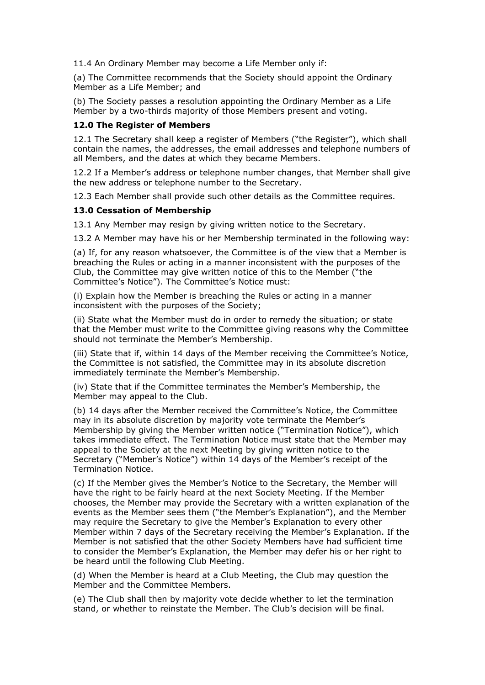11.4 An Ordinary Member may become a Life Member only if:

(a) The Committee recommends that the Society should appoint the Ordinary Member as a Life Member; and

(b) The Society passes a resolution appointing the Ordinary Member as a Life Member by a two-thirds majority of those Members present and voting.

#### **12.0 The Register of Members**

12.1 The Secretary shall keep a register of Members ("the Register"), which shall contain the names, the addresses, the email addresses and telephone numbers of all Members, and the dates at which they became Members.

12.2 If a Member's address or telephone number changes, that Member shall give the new address or telephone number to the Secretary.

12.3 Each Member shall provide such other details as the Committee requires.

#### **13.0 Cessation of Membership**

13.1 Any Member may resign by giving written notice to the Secretary.

13.2 A Member may have his or her Membership terminated in the following way:

(a) If, for any reason whatsoever, the Committee is of the view that a Member is breaching the Rules or acting in a manner inconsistent with the purposes of the Club, the Committee may give written notice of this to the Member ("the Committee's Notice"). The Committee's Notice must:

(i) Explain how the Member is breaching the Rules or acting in a manner inconsistent with the purposes of the Society;

(ii) State what the Member must do in order to remedy the situation; or state that the Member must write to the Committee giving reasons why the Committee should not terminate the Member's Membership.

(iii) State that if, within 14 days of the Member receiving the Committee's Notice, the Committee is not satisfied, the Committee may in its absolute discretion immediately terminate the Member's Membership.

(iv) State that if the Committee terminates the Member's Membership, the Member may appeal to the Club.

(b) 14 days after the Member received the Committee's Notice, the Committee may in its absolute discretion by majority vote terminate the Member's Membership by giving the Member written notice ("Termination Notice"), which takes immediate effect. The Termination Notice must state that the Member may appeal to the Society at the next Meeting by giving written notice to the Secretary ("Member's Notice") within 14 days of the Member's receipt of the Termination Notice.

(c) If the Member gives the Member's Notice to the Secretary, the Member will have the right to be fairly heard at the next Society Meeting. If the Member chooses, the Member may provide the Secretary with a written explanation of the events as the Member sees them ("the Member's Explanation"), and the Member may require the Secretary to give the Member's Explanation to every other Member within 7 days of the Secretary receiving the Member's Explanation. If the Member is not satisfied that the other Society Members have had sufficient time to consider the Member's Explanation, the Member may defer his or her right to be heard until the following Club Meeting.

(d) When the Member is heard at a Club Meeting, the Club may question the Member and the Committee Members.

(e) The Club shall then by majority vote decide whether to let the termination stand, or whether to reinstate the Member. The Club's decision will be final.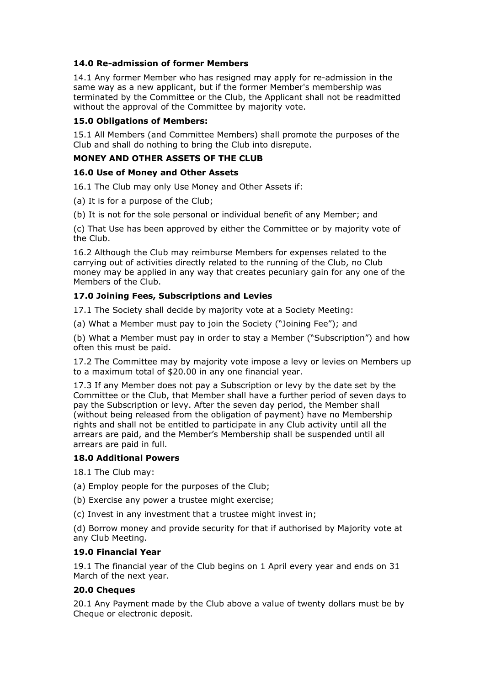## **14.0 Re-admission of former Members**

14.1 Any former Member who has resigned may apply for re-admission in the same way as a new applicant, but if the former Member's membership was terminated by the Committee or the Club, the Applicant shall not be readmitted without the approval of the Committee by majority vote.

## **15.0 Obligations of Members:**

15.1 All Members (and Committee Members) shall promote the purposes of the Club and shall do nothing to bring the Club into disrepute.

### **MONEY AND OTHER ASSETS OF THE CLUB**

#### **16.0 Use of Money and Other Assets**

16.1 The Club may only Use Money and Other Assets if:

(a) It is for a purpose of the Club;

(b) It is not for the sole personal or individual benefit of any Member; and

(c) That Use has been approved by either the Committee or by majority vote of the Club.

16.2 Although the Club may reimburse Members for expenses related to the carrying out of activities directly related to the running of the Club, no Club money may be applied in any way that creates pecuniary gain for any one of the Members of the Club.

## **17.0 Joining Fees, Subscriptions and Levies**

17.1 The Society shall decide by majority vote at a Society Meeting:

(a) What a Member must pay to join the Society ("Joining Fee"); and

(b) What a Member must pay in order to stay a Member ("Subscription") and how often this must be paid.

17.2 The Committee may by majority vote impose a levy or levies on Members up to a maximum total of \$20.00 in any one financial year.

17.3 If any Member does not pay a Subscription or levy by the date set by the Committee or the Club, that Member shall have a further period of seven days to pay the Subscription or levy. After the seven day period, the Member shall (without being released from the obligation of payment) have no Membership rights and shall not be entitled to participate in any Club activity until all the arrears are paid, and the Member's Membership shall be suspended until all arrears are paid in full.

## **18.0 Additional Powers**

18.1 The Club may:

(a) Employ people for the purposes of the Club;

(b) Exercise any power a trustee might exercise;

(c) Invest in any investment that a trustee might invest in;

(d) Borrow money and provide security for that if authorised by Majority vote at any Club Meeting.

## **19.0 Financial Year**

19.1 The financial year of the Club begins on 1 April every year and ends on 31 March of the next year.

## **20.0 Cheques**

20.1 Any Payment made by the Club above a value of twenty dollars must be by Cheque or electronic deposit.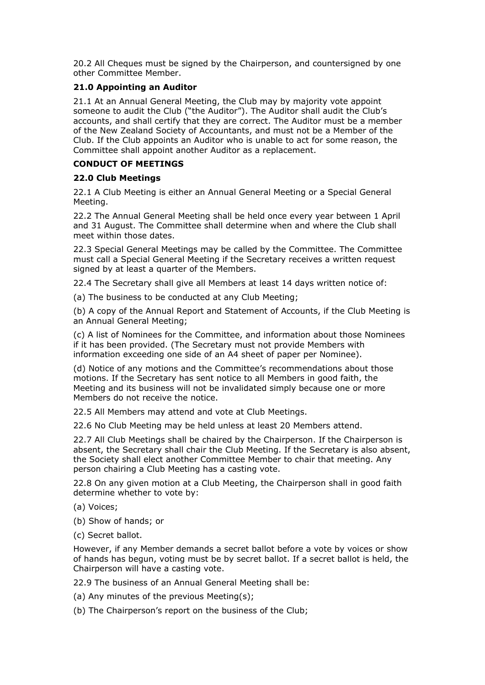20.2 All Cheques must be signed by the Chairperson, and countersigned by one other Committee Member.

## **21.0 Appointing an Auditor**

21.1 At an Annual General Meeting, the Club may by majority vote appoint someone to audit the Club ("the Auditor"). The Auditor shall audit the Club's accounts, and shall certify that they are correct. The Auditor must be a member of the New Zealand Society of Accountants, and must not be a Member of the Club. If the Club appoints an Auditor who is unable to act for some reason, the Committee shall appoint another Auditor as a replacement.

### **CONDUCT OF MEETINGS**

#### **22.0 Club Meetings**

22.1 A Club Meeting is either an Annual General Meeting or a Special General Meeting.

22.2 The Annual General Meeting shall be held once every year between 1 April and 31 August. The Committee shall determine when and where the Club shall meet within those dates.

22.3 Special General Meetings may be called by the Committee. The Committee must call a Special General Meeting if the Secretary receives a written request signed by at least a quarter of the Members.

22.4 The Secretary shall give all Members at least 14 days written notice of:

(a) The business to be conducted at any Club Meeting;

(b) A copy of the Annual Report and Statement of Accounts, if the Club Meeting is an Annual General Meeting;

(c) A list of Nominees for the Committee, and information about those Nominees if it has been provided. (The Secretary must not provide Members with information exceeding one side of an A4 sheet of paper per Nominee).

(d) Notice of any motions and the Committee's recommendations about those motions. If the Secretary has sent notice to all Members in good faith, the Meeting and its business will not be invalidated simply because one or more Members do not receive the notice.

22.5 All Members may attend and vote at Club Meetings.

22.6 No Club Meeting may be held unless at least 20 Members attend.

22.7 All Club Meetings shall be chaired by the Chairperson. If the Chairperson is absent, the Secretary shall chair the Club Meeting. If the Secretary is also absent, the Society shall elect another Committee Member to chair that meeting. Any person chairing a Club Meeting has a casting vote.

22.8 On any given motion at a Club Meeting, the Chairperson shall in good faith determine whether to vote by:

- (a) Voices;
- (b) Show of hands; or
- (c) Secret ballot.

However, if any Member demands a secret ballot before a vote by voices or show of hands has begun, voting must be by secret ballot. If a secret ballot is held, the Chairperson will have a casting vote.

22.9 The business of an Annual General Meeting shall be:

(a) Any minutes of the previous Meeting(s);

(b) The Chairperson's report on the business of the Club;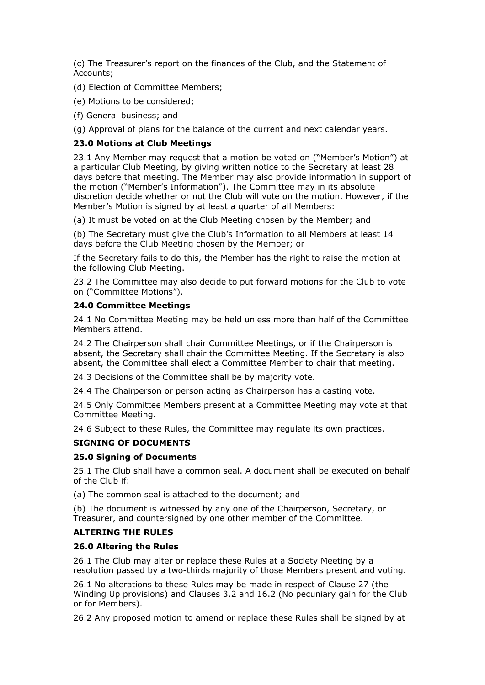(c) The Treasurer's report on the finances of the Club, and the Statement of Accounts;

(d) Election of Committee Members;

(e) Motions to be considered;

(f) General business; and

(g) Approval of plans for the balance of the current and next calendar years.

### **23.0 Motions at Club Meetings**

23.1 Any Member may request that a motion be voted on ("Member's Motion") at a particular Club Meeting, by giving written notice to the Secretary at least 28 days before that meeting. The Member may also provide information in support of the motion ("Member's Information"). The Committee may in its absolute discretion decide whether or not the Club will vote on the motion. However, if the Member's Motion is signed by at least a quarter of all Members:

(a) It must be voted on at the Club Meeting chosen by the Member; and

(b) The Secretary must give the Club's Information to all Members at least 14 days before the Club Meeting chosen by the Member; or

If the Secretary fails to do this, the Member has the right to raise the motion at the following Club Meeting.

23.2 The Committee may also decide to put forward motions for the Club to vote on ("Committee Motions").

#### **24.0 Committee Meetings**

24.1 No Committee Meeting may be held unless more than half of the Committee Members attend.

24.2 The Chairperson shall chair Committee Meetings, or if the Chairperson is absent, the Secretary shall chair the Committee Meeting. If the Secretary is also absent, the Committee shall elect a Committee Member to chair that meeting.

24.3 Decisions of the Committee shall be by majority vote.

24.4 The Chairperson or person acting as Chairperson has a casting vote.

24.5 Only Committee Members present at a Committee Meeting may vote at that Committee Meeting.

24.6 Subject to these Rules, the Committee may regulate its own practices.

#### **SIGNING OF DOCUMENTS**

#### **25.0 Signing of Documents**

25.1 The Club shall have a common seal. A document shall be executed on behalf of the Club if:

(a) The common seal is attached to the document; and

(b) The document is witnessed by any one of the Chairperson, Secretary, or Treasurer, and countersigned by one other member of the Committee.

## **ALTERING THE RULES**

#### **26.0 Altering the Rules**

26.1 The Club may alter or replace these Rules at a Society Meeting by a resolution passed by a two-thirds majority of those Members present and voting.

26.1 No alterations to these Rules may be made in respect of Clause 27 (the Winding Up provisions) and Clauses 3.2 and 16.2 (No pecuniary gain for the Club or for Members).

26.2 Any proposed motion to amend or replace these Rules shall be signed by at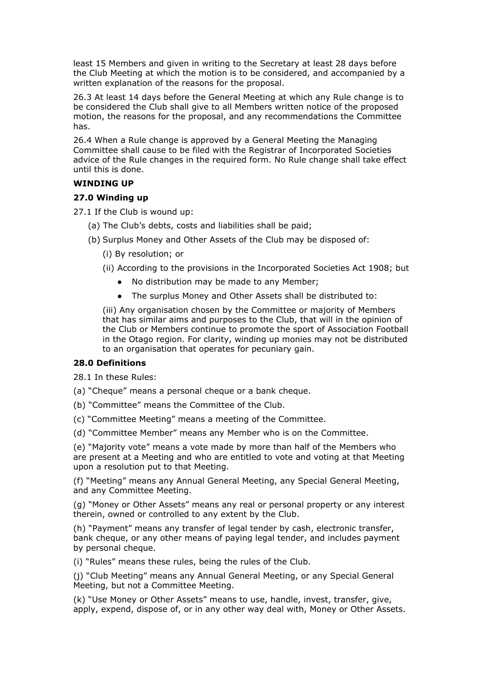least 15 Members and given in writing to the Secretary at least 28 days before the Club Meeting at which the motion is to be considered, and accompanied by a written explanation of the reasons for the proposal.

26.3 At least 14 days before the General Meeting at which any Rule change is to be considered the Club shall give to all Members written notice of the proposed motion, the reasons for the proposal, and any recommendations the Committee has.

26.4 When a Rule change is approved by a General Meeting the Managing Committee shall cause to be filed with the Registrar of Incorporated Societies advice of the Rule changes in the required form. No Rule change shall take effect until this is done.

#### **WINDING UP**

#### **27.0 Winding up**

27.1 If the Club is wound up:

- (a) The Club's debts, costs and liabilities shall be paid;
- (b) Surplus Money and Other Assets of the Club may be disposed of:
	- (i) By resolution; or
	- (ii) According to the provisions in the Incorporated Societies Act 1908; but
		- No distribution may be made to any Member;
		- The surplus Money and Other Assets shall be distributed to:

(iii) Any organisation chosen by the Committee or majority of Members that has similar aims and purposes to the Club, that will in the opinion of the Club or Members continue to promote the sport of Association Football in the Otago region. For clarity, winding up monies may not be distributed to an organisation that operates for pecuniary gain.

## **28.0 Definitions**

28.1 In these Rules:

(a) "Cheque" means a personal cheque or a bank cheque.

(b) "Committee" means the Committee of the Club.

(c) "Committee Meeting" means a meeting of the Committee.

(d) "Committee Member" means any Member who is on the Committee.

(e) "Majority vote" means a vote made by more than half of the Members who are present at a Meeting and who are entitled to vote and voting at that Meeting upon a resolution put to that Meeting.

(f) "Meeting" means any Annual General Meeting, any Special General Meeting, and any Committee Meeting.

(g) "Money or Other Assets" means any real or personal property or any interest therein, owned or controlled to any extent by the Club.

(h) "Payment" means any transfer of legal tender by cash, electronic transfer, bank cheque, or any other means of paying legal tender, and includes payment by personal cheque.

(i) "Rules" means these rules, being the rules of the Club.

(j) "Club Meeting" means any Annual General Meeting, or any Special General Meeting, but not a Committee Meeting.

(k) "Use Money or Other Assets" means to use, handle, invest, transfer, give, apply, expend, dispose of, or in any other way deal with, Money or Other Assets.